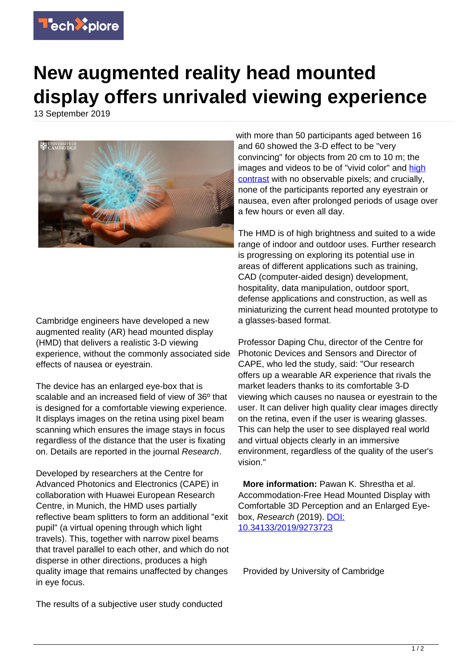

## **New augmented reality head mounted display offers unrivaled viewing experience**

13 September 2019



Cambridge engineers have developed a new augmented reality (AR) head mounted display (HMD) that delivers a realistic 3-D viewing experience, without the commonly associated side effects of nausea or eyestrain.

The device has an enlarged eve-box that is scalable and an increased field of view of 36º that is designed for a comfortable viewing experience. It displays images on the retina using pixel beam scanning which ensures the image stays in focus regardless of the distance that the user is fixating on. Details are reported in the journal Research.

Developed by researchers at the Centre for Advanced Photonics and Electronics (CAPE) in collaboration with Huawei European Research Centre, in Munich, the HMD uses partially reflective beam splitters to form an additional "exit pupil" (a virtual opening through which light travels). This, together with narrow pixel beams that travel parallel to each other, and which do not disperse in other directions, produces a high quality image that remains unaffected by changes in eye focus.

with more than 50 participants aged between 16 and 60 showed the 3-D effect to be "very convincing" for objects from 20 cm to 10 m; the images and videos to be of "vivid color" and [high](https://techxplore.com/tags/high+contrast/) [contrast](https://techxplore.com/tags/high+contrast/) with no observable pixels; and crucially, none of the participants reported any eyestrain or nausea, even after prolonged periods of usage over a few hours or even all day.

The HMD is of high brightness and suited to a wide range of indoor and outdoor uses. Further research is progressing on exploring its potential use in areas of different applications such as training, CAD (computer-aided design) development, hospitality, data manipulation, outdoor sport, defense applications and construction, as well as miniaturizing the current head mounted prototype to a glasses-based format.

Professor Daping Chu, director of the Centre for Photonic Devices and Sensors and Director of CAPE, who led the study, said: "Our research offers up a wearable AR experience that rivals the market leaders thanks to its comfortable 3-D viewing which causes no nausea or eyestrain to the user. It can deliver high quality clear images directly on the retina, even if the user is wearing glasses. This can help the user to see displayed real world and virtual objects clearly in an immersive environment, regardless of the quality of the user's vision."

 **More information:** Pawan K. Shrestha et al. Accommodation-Free Head Mounted Display with Comfortable 3D Perception and an Enlarged Eyebox, Research (2019). [DOI:](http://dx.doi.org/10.34133/2019/9273723) [10.34133/2019/9273723](http://dx.doi.org/10.34133/2019/9273723)

Provided by University of Cambridge

The results of a subjective user study conducted